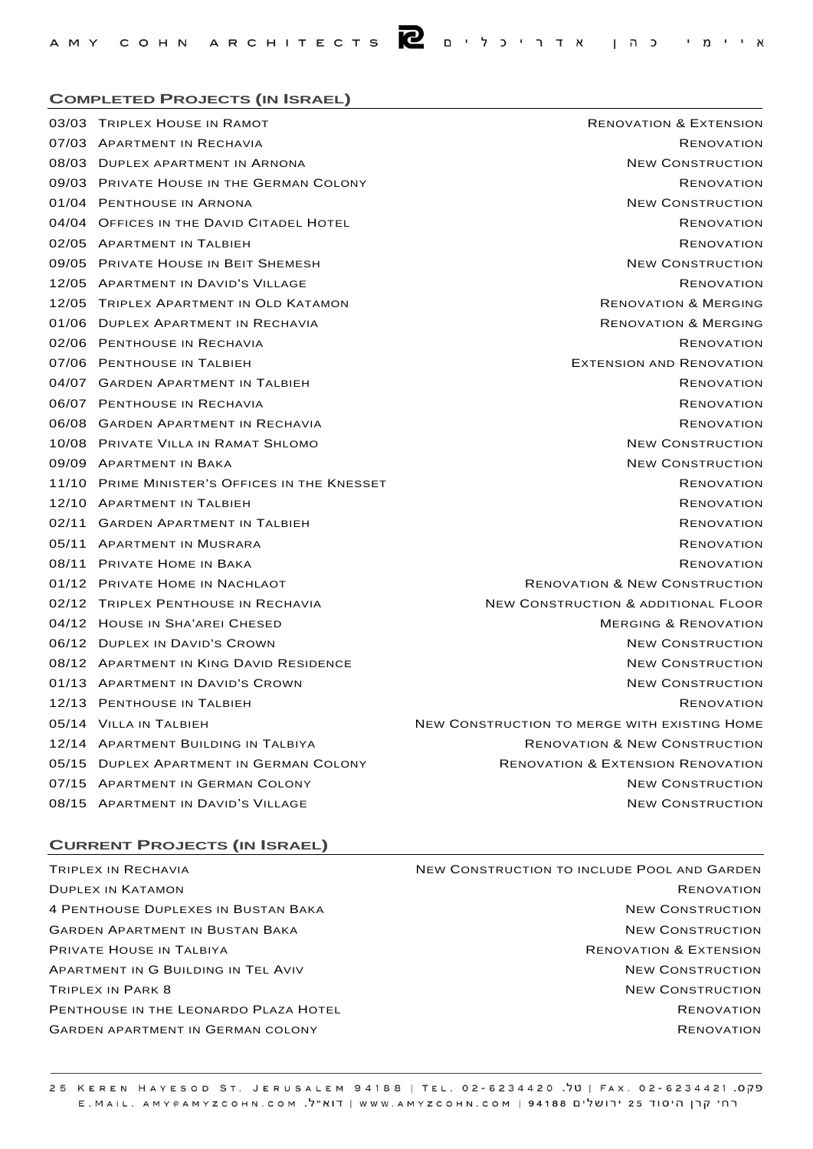## **COMPLETED PROJECTS (IN ISRAEL)**

| 03/03 TRIPLEX HOUSE IN RAMOT                  | <b>RENOVATION &amp; EXTENSION</b>              |
|-----------------------------------------------|------------------------------------------------|
| 07/03 APARTMENT IN RECHAVIA                   | <b>RENOVATION</b>                              |
| 08/03 DUPLEX APARTMENT IN ARNONA              | <b>NEW CONSTRUCTION</b>                        |
| 09/03 PRIVATE HOUSE IN THE GERMAN COLONY      | <b>RENOVATION</b>                              |
| 01/04 PENTHOUSE IN ARNONA                     | <b>NEW CONSTRUCTION</b>                        |
| 04/04 OFFICES IN THE DAVID CITADEL HOTEL      | <b>RENOVATION</b>                              |
| 02/05 APARTMENT IN TALBIEH                    | <b>RENOVATION</b>                              |
| 09/05 PRIVATE HOUSE IN BEIT SHEMESH           | <b>NEW CONSTRUCTION</b>                        |
| 12/05 APARTMENT IN DAVID'S VILLAGE            | <b>RENOVATION</b>                              |
| 12/05 TRIPLEX APARTMENT IN OLD KATAMON        | <b>RENOVATION &amp; MERGING</b>                |
| 01/06 DUPLEX APARTMENT IN RECHAVIA            | <b>RENOVATION &amp; MERGING</b>                |
| 02/06 PENTHOUSE IN RECHAVIA                   | <b>RENOVATION</b>                              |
| 07/06 PENTHOUSE IN TALBIEH                    | <b>EXTENSION AND RENOVATION</b>                |
| 04/07 GARDEN APARTMENT IN TALBIEH             | <b>RENOVATION</b>                              |
| 06/07 PENTHOUSE IN RECHAVIA                   | <b>RENOVATION</b>                              |
| 06/08 GARDEN APARTMENT IN RECHAVIA            | <b>RENOVATION</b>                              |
| 10/08 PRIVATE VILLA IN RAMAT SHLOMO           | <b>NEW CONSTRUCTION</b>                        |
| 09/09 APARTMENT IN BAKA                       | <b>NEW CONSTRUCTION</b>                        |
| 11/10 PRIME MINISTER'S OFFICES IN THE KNESSET | <b>RENOVATION</b>                              |
| 12/10 APARTMENT IN TALBIEH                    | <b>RENOVATION</b>                              |
| 02/11 GARDEN APARTMENT IN TALBIEH             | <b>RENOVATION</b>                              |
| 05/11 APARTMENT IN MUSRARA                    | <b>RENOVATION</b>                              |
| 08/11 PRIVATE HOME IN BAKA                    | <b>RENOVATION</b>                              |
| 01/12 PRIVATE HOME IN NACHLAOT                | <b>RENOVATION &amp; NEW CONSTRUCTION</b>       |
| 02/12 TRIPLEX PENTHOUSE IN RECHAVIA           | <b>NEW CONSTRUCTION &amp; ADDITIONAL FLOOR</b> |
| 04/12 HOUSE IN SHA'AREI CHESED                | <b>MERGING &amp; RENOVATION</b>                |
| 06/12 DUPLEX IN DAVID'S CROWN                 | <b>NEW CONSTRUCTION</b>                        |
| 08/12 APARTMENT IN KING DAVID RESIDENCE       | <b>NEW CONSTRUCTION</b>                        |
| 01/13 APARTMENT IN DAVID'S CROWN              | <b>NEW CONSTRUCTION</b>                        |
| 12/13 PENTHOUSE IN TALBIEH                    | <b>RENOVATION</b>                              |
| 05/14 VILLA IN TALBIEH                        | NEW CONSTRUCTION TO MERGE WITH EXISTING HOME   |
| 12/14 APARTMENT BUILDING IN TALBIYA           | <b>RENOVATION &amp; NEW CONSTRUCTION</b>       |
| 05/15 DUPLEX APARTMENT IN GERMAN COLONY       | <b>RENOVATION &amp; EXTENSION RENOVATION</b>   |
| 07/15 APARTMENT IN GERMAN COLONY              | <b>NEW CONSTRUCTION</b>                        |
| 08/15 APARTMENT IN DAVID'S VILLAGE            | <b>NEW CONSTRUCTION</b>                        |
|                                               |                                                |

## **CURRENT PROJECTS (IN ISRAEL)**

TRIPLEX IN RECHAVIA DUPLEX IN KATAMON 4 PENTHOUSE DUPLEXES IN BUSTAN BAKA GARDEN APARTMENT IN BUSTAN BAKA PRIVATE HOUSE IN TALBIYA APARTMENT IN G BUILDING IN TEL AVIV TRIPLEX IN PARK 8 PENTHOUSE IN THE LEONARDO PLAZA HOTEL GARDEN APARTMENT IN GERMAN COLONY

NEW CONSTRUCTION TO INCLUDE POOL AND GARDEN RENOVATION NEW CONSTRUCTION NEW CONSTRUCTION RENOVATION & EXTENSION NEW CONSTRUCTION NEW CONSTRUCTION RENOVATION RENOVATION